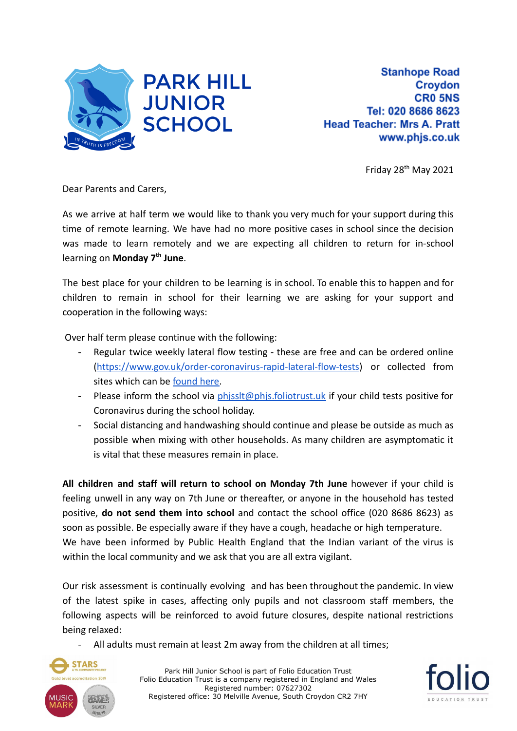

Friday 28<sup>th</sup> May 2021

Dear Parents and Carers,

As we arrive at half term we would like to thank you very much for your support during this time of remote learning. We have had no more positive cases in school since the decision was made to learn remotely and we are expecting all children to return for in-school learning on **Monday 7th June**.

The best place for your children to be learning is in school. To enable this to happen and for children to remain in school for their learning we are asking for your support and cooperation in the following ways:

Over half term please continue with the following:

- Regular twice weekly lateral flow testing these are free and can be ordered online (<https://www.gov.uk/order-coronavirus-rapid-lateral-flow-tests>) or collected from sites which can be [found here.](https://www.nhs.uk/conditions/coronavirus-covid-19/testing/regular-rapid-coronavirus-tests-if-you-do-not-have-symptoms/)
- Please inform the school via phissit@phis.foliotrust.uk if your child tests positive for Coronavirus during the school holiday.
- Social distancing and handwashing should continue and please be outside as much as possible when mixing with other households. As many children are asymptomatic it is vital that these measures remain in place.

**All children and staff will return to school on Monday 7th June** however if your child is feeling unwell in any way on 7th June or thereafter, or anyone in the household has tested positive, **do not send them into school** and contact the school office (020 8686 8623) as soon as possible. Be especially aware if they have a cough, headache or high temperature. We have been informed by Public Health England that the Indian variant of the virus is within the local community and we ask that you are all extra vigilant.

Our risk assessment is continually evolving and has been throughout the pandemic. In view of the latest spike in cases, affecting only pupils and not classroom staff members, the following aspects will be reinforced to avoid future closures, despite national restrictions being relaxed:

All adults must remain at least 2m away from the children at all times;



Park Hill Junior School is part of Folio Education Trust Folio Education Trust is a company registered in England and Wales Registered number: 07627302 Registered office: 30 Melville Avenue, South Croydon CR2 7HY